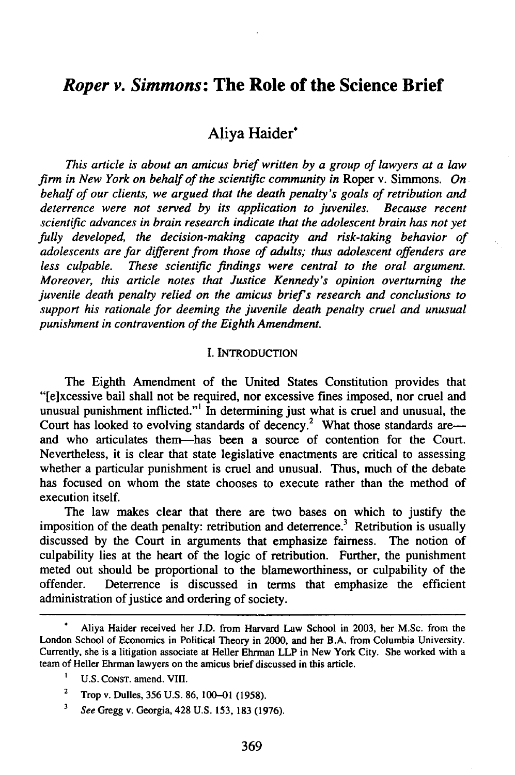# *Roper v. Simmons:* **The Role of the Science Brief**

# Aliya Haider\*

*This article is about an amicus brief written by a group of lawyers at a law firm in New York on behalf of the scientific community in* Roper v. Simmons. *On behalf of our clients, we argued that the death penalty's goals of retribution and deterrence were not served by its application to juveniles. Because recent scientific advances in brain research indicate that the adolescent brain has not yet fully developed, the decision-making capacity and risk-taking behavior of adolescents are far different from those of adults; thus adolescent offenders are less culpable. These scientific findings were central to the oral argument. Moreover, this article notes that Justice Kennedy's opinion overturning the juvenile death penalty relied on the amicus briefs research and conclusions to support his rationale for deeming the juvenile death penalty cruel and unusual punishment in contravention of the Eighth Amendment.*

## I. INTRODUCTION

The Eighth Amendment of the United States Constitution provides that "[e]xcessive bail shall not be required, nor excessive fines imposed, nor cruel and unusual punishment inflicted."<sup>1</sup> In determining just what is cruel and unusual, the Court has looked to evolving standards of decency.<sup>2</sup> What those standards areand who articulates then--has been a source of contention for the Court. Nevertheless, it is clear that state legislative enactments are critical to assessing whether a particular punishment is cruel and unusual. Thus, much of the debate has focused on whom the state chooses to execute rather than the method of execution itself.

The law makes clear that there are two bases on which to justify the imposition of the death penalty: retribution and deterrence.<sup>3</sup> Retribution is usually discussed by the Court in arguments that emphasize fairness. The notion of culpability lies at the heart of the logic of retribution. Further, the punishment meted out should be proportional to the blameworthiness, or culpability of the offender. Deterrence is discussed in terms that emphasize the efficient administration of justice and ordering of society.

**<sup>\*</sup>** Aliya Haider received her J.D. from Harvard Law School in 2003, her M.Sc. from the London School of Economics in Political Theory in 2000, and her B.A. from Columbia University. Currently, she is a litigation associate at Heller Ehrman LLP in New York City. She worked with a team of Heller Ehrman lawyers on the amicus brief discussed in this article.

U.S. CONST. amend. VIII.

 $2^2$  Trop v. Dulles, 356 U.S. 86, 100–01 (1958).

**<sup>3</sup>** *See* Gregg v. Georgia, 428 U.S. 153, 183 (1976).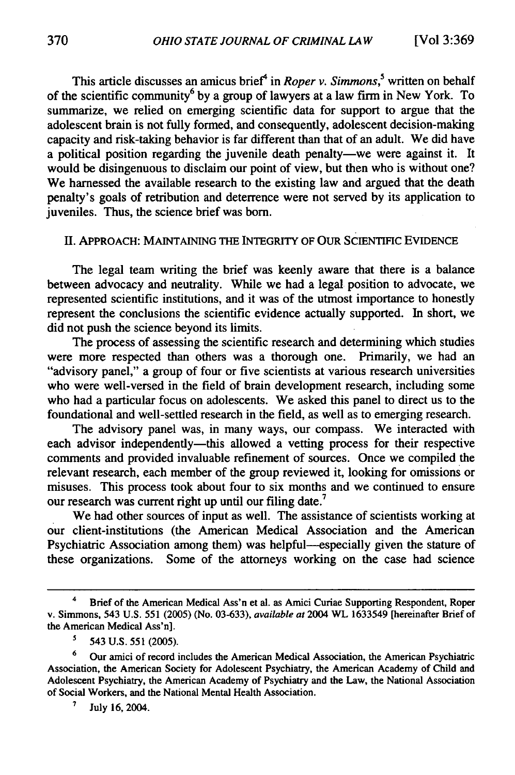This article discusses an amicus brief<sup>4</sup> in *Roper v. Simmons*,<sup>5</sup> written on behalf of the scientific community<sup>6</sup> by a group of lawyers at a law firm in New York. To summarize, we relied on emerging scientific data for support to argue that the adolescent brain is not fully formed, and consequently, adolescent decision-making capacity and risk-taking behavior is far different than that of an adult. We did have a political position regarding the juvenile death penalty-we were against it. It would be disingenuous to disclaim our point of view, but then who is without one? We harnessed the available research to the existing law and argued that the death penalty's goals of retribution and deterrence were not served by its application to juveniles. Thus, the science brief was born.

# II. APPROACH: **MAINTAINING** THE INTEGRITY OF OUR SCIENTIFIC **EVIDENCE**

The legal team writing the brief was keenly aware that there is a balance between advocacy and neutrality. While we had a legal position to advocate, we represented scientific institutions, and it was of the utmost importance to honestly represent the conclusions the scientific evidence actually supported. In short, we did not push the science beyond its limits.

The process of assessing the scientific research and determining which studies were more respected than others was a thorough one. Primarily, we had an "advisory panel," a group of four or five scientists at various research universities who were well-versed in the field of brain development research, including some who had a particular focus on adolescents. We asked this panel to direct us to the foundational and well-settled research in the field, as well as to emerging research.

The advisory panel was, in many ways, our compass. We interacted with each advisor independently—this allowed a vetting process for their respective comments and provided invaluable refinement of sources. Once we compiled the relevant research, each member of the group reviewed it, looking for omissions or misuses. This process took about four to six months and we continued to ensure our research was current right up until our filing date.<sup>7</sup>

We had other sources of input as well. The assistance of scientists working at our client-institutions (the American Medical Association and the American Psychiatric Association among them) was helpful--especially given the stature of these organizations. Some of the attorneys working on the case had science

<sup>4</sup> **Brief of** the American Medical Ass'n et al. as Amici Curiae Supporting Respondent, Roper v. Simmons, 543 U.S. 551 (2005) (No. 03-633), *available at* 2004 WL 1633549 [hereinafter Brief of the American Medical Ass'n].

*<sup>5</sup>* 543 U.S. 551 (2005).

**<sup>6</sup>** Our amici of record includes the American Medical Association, the American Psychiatric Association, the American Society for Adolescent Psychiatry, the American Academy of Child and Adolescent Psychiatry, the American Academy of Psychiatry and the Law, the National Association of Social Workers, and the National Mental Health Association.

**<sup>7</sup>** July 16, 2004.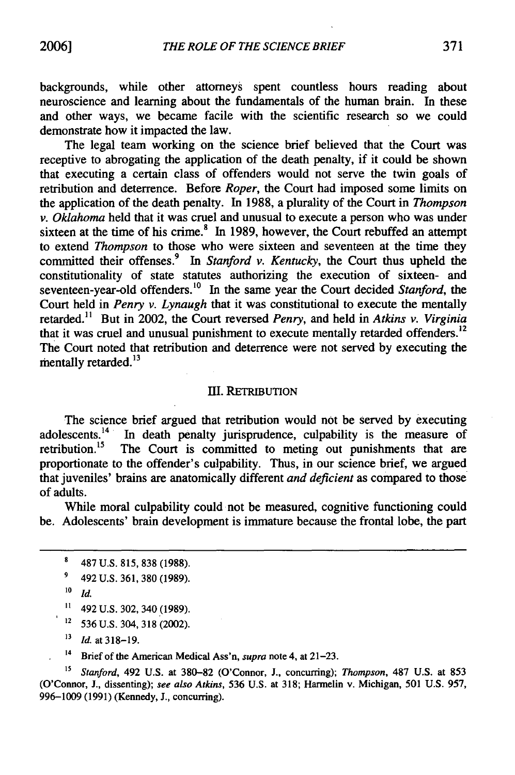backgrounds, while other attorneys spent countless hours reading about neuroscience and learning about the fundamentals of the human brain. In these and other ways, we became facile with the scientific research so we could demonstrate how it impacted the law.

The legal team working on the science brief believed that the Court was receptive to abrogating the application of the death penalty, if it could be shown that executing a certain class of offenders would not serve the twin goals of retribution and deterrence. Before *Roper,* the Court had imposed some limits on the application of the death penalty. In 1988, a plurality of the Court in *Thompson v. Oklahoma* held that it was cruel and unusual to execute a person who was under sixteen at the time of his crime. $8\text{ In } 1989$ , however, the Court rebuffed an attempt to extend *Thompson* to those who were sixteen and seventeen at the time they committed their offenses.<sup>9</sup> In *Stanford v. Kentucky*, the Court thus upheld the constitutionality of state statutes authorizing the execution of sixteen- and seventeen-year-old offenders.<sup>10</sup> In the same year the Court decided *Stanford*, the Court held in *Penry v. Lynaugh* that it was constitutional to execute the mentally retarded." But in 2002, the Court reversed *Penry,* and held in *Atkins v. Virginia* that it was cruel and unusual punishment to execute mentally retarded offenders.<sup>12</sup> The Court noted that retribution and deterrence were not served by executing the mentally retarded. **13**

#### **]JI.** RETRIBUTION

The science brief argued that retribution would not be served by executing adolescents.<sup>14</sup> In death penalty jurisprudence, culpability is the measure of retribution.<sup>15</sup> The Court is committed to meting out punishments that are The Court is committed to meting out punishments that are proportionate to the offender's culpability. Thus, in our science brief, we argued that juveniles' brains are anatomically different *and deficient* as compared to those of adults.

While moral culpability could not be measured, cognitive functioning could be. Adolescents' brain development is immature because the frontal lobe, the part

12 536 U.S. 304, 318 (2002).

**"** *Id.* at 318-19.

**14** Brief of the American Medical Ass'n, *supra* note 4, at 21-23.

<sup>15</sup> Stanford, 492 U.S. at 380-82 (O'Connor, J., concurring); *Thompson*, 487 U.S. at 853 (O'Connor, J., dissenting); *see also Atkins,* 536 U.S. at 318; Harmelin v. Michigan, 501 U.S. 957, 996-1009 (1991) (Kennedy, J., concurring).

<sup>8</sup> 487 U.S. 815, 838 (1988).

<sup>9</sup> 492 U.S. 361, 380 (1989).

**<sup>10</sup>** *Id.*

 $11$  492 U.S. 302, 340 (1989).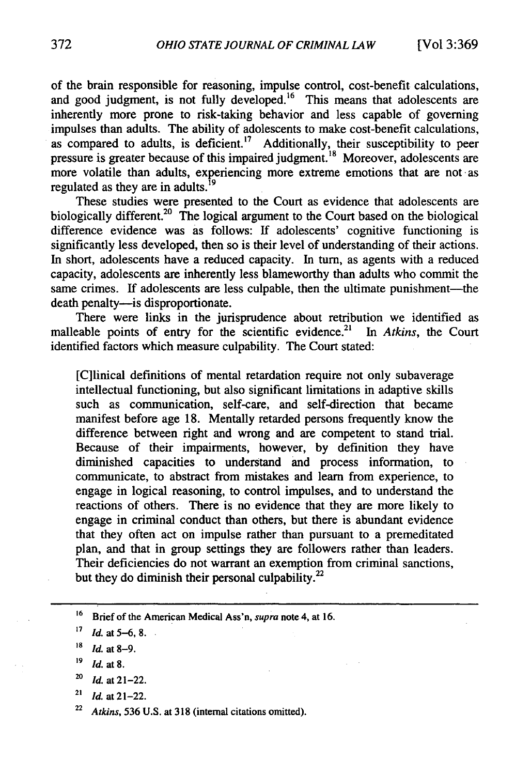of the brain responsible for reasoning, impulse control, cost-benefit calculations, and good judgment, is not fully developed.<sup>16</sup> This means that adolescents are inherently more prone to risk-taking behavior and less capable of governing impulses than adults. The ability of adolescents to make cost-benefit calculations, as compared to adults, is deficient.<sup>17</sup> Additionally, their susceptibility to peer pressure is greater because of this impaired judgment.<sup>18</sup> Moreover, adolescents are more volatile than adults, experiencing more extreme emotions that are not as regulated as they are in adults.<sup> $15$ </sup>

These studies were presented to the Court as evidence that adolescents are biologically different.<sup>20</sup> The logical argument to the Court based on the biological difference evidence was as follows: If adolescents' cognitive functioning is significantly less developed, then so is their level of understanding of their actions. In short, adolescents have a reduced capacity. In turn, as agents with a reduced capacity, adolescents are inherently less blameworthy than adults who commit the same crimes. If adolescents are less culpable, then the ultimate punishment—the death penalty—is disproportionate.

There were links in the jurisprudence about retribution we identified as malleable points of entry for the scientific evidence.<sup>21</sup> In Atkins, the Court identified factors which measure culpability. The Court stated:

[C]linical definitions of mental retardation require not only subaverage intellectual functioning, but also significant limitations in adaptive skills such as communication, self-care, and self-direction that became manifest before age 18. Mentally retarded persons frequently know the difference between right and wrong and are competent to stand trial. Because of their impairments, however, by definition they have diminished capacities to understand and process information, to communicate, to abstract from mistakes and learn from experience, to engage in logical reasoning, to control impulses, and to understand the reactions of others. There is no evidence that they are more likely to engage in criminal conduct than others, but there is abundant evidence that they often act on impulse rather than pursuant to a premeditated plan, and that in group settings they are followers rather than leaders. Their deficiencies do not warrant an exemption from criminal sanctions, but they do diminish their personal culpability. $^{22}$ 

- **'9** *Id.* at **8.**
- *<sup>20</sup>***Id.** at 21-22.
- $^{21}$  *Id.* at 21-22.
- *<sup>22</sup>Atkins,* 536 U.S. at 318 (internal citations omitted).

<sup>&</sup>lt;sup>16</sup> Brief of the American Medical Ass'n, *supra* note 4, at 16.

**<sup>17</sup>** *Id.* **at 5-6,8.•**

**<sup>&#</sup>x27;8** *Id.* at **8-9.**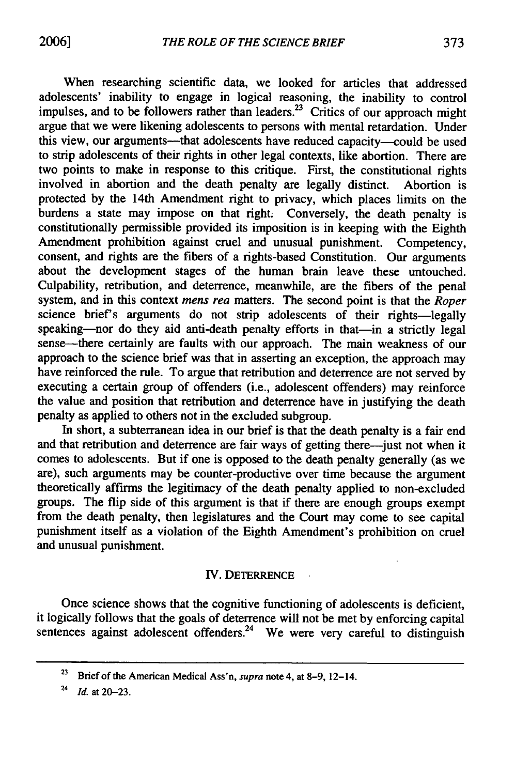When researching scientific data, we looked for articles that addressed adolescents' inability to engage in logical reasoning, the inability to control impulses, and to be followers rather than leaders.<sup>23</sup> Critics of our approach might argue that we were likening adolescents to persons with mental retardation. Under this view, our arguments—that adolescents have reduced capacity—could be used to strip adolescents of their rights in other legal contexts, like abortion. There are two points to make in response to this critique. First, the constitutional rights involved in abortion and the death penalty are legally distinct. Abortion is protected by the 14th Amendment right to privacy, which places limits on the burdens a state may impose on that right. Conversely, the death penalty is constitutionally permissible provided its imposition is in keeping with the Eighth Amendment prohibition against cruel and unusual punishment. Competency, consent, and rights are the fibers of a rights-based Constitution. Our arguments about the development stages of the human brain leave these untouched. Culpability, retribution, and deterrence, meanwhile, are the fibers of the penal system, and in this context *mens rea* matters. The second point is that the *Roper* science brief's arguments do not strip adolescents of their rights-legally speaking-nor do they aid anti-death penalty efforts in that-in a strictly legal sense-there certainly are faults with our approach. The main weakness of our approach to the science brief was that in asserting an exception, the approach may have reinforced the rule. To argue that retribution and deterrence are not served **by** executing a certain group of offenders (i.e., adolescent offenders) may reinforce the value and position that retribution and deterrence have in justifying the death penalty as applied to others not in the excluded subgroup.

In short, a subterranean idea in our brief is that the death penalty is a fair end and that retribution and deterrence are fair ways of getting there-just not when it comes to adolescents. But if one is opposed to the death penalty generally (as we are), such arguments may be counter-productive over time because the argument theoretically affirms the legitimacy of the death penalty applied to non-excluded groups. The flip side of this argument is that if there are enough groups exempt from the death penalty, then legislatures and the Court may come to see capital punishment itself as a violation of the Eighth Amendment's prohibition on cruel and unusual punishment.

#### IV. DETERRENCE

 $\bar{\mathcal{A}}$ 

Once science shows that the cognitive functioning of adolescents is deficient, it logically follows that the goals of deterrence will not be met by enforcing capital sentences against adolescent offenders.<sup>24</sup> We were very careful to distinguish

**<sup>23</sup>**Brief of the American Medical Ass'n, *supra* note 4, at 8-9, 12-14.

<sup>24</sup>*Id.* at 20-23.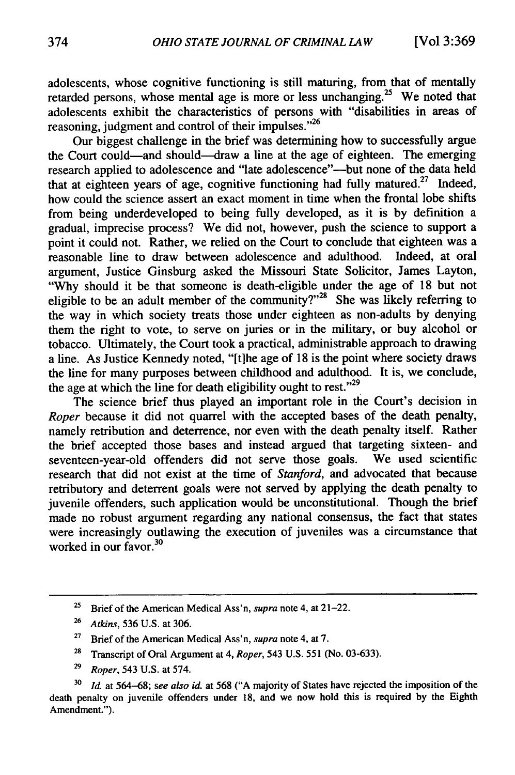adolescents, whose cognitive functioning is still maturing, from that of mentally retarded persons, whose mental age is more or less unchanging.<sup>25</sup> We noted that adolescents exhibit the characteristics of persons with "disabilities in areas of reasoning, judgment and control of their impulses."<sup>26</sup>

Our biggest challenge in the brief was determining how to successfully argue the Court could-and should--draw a line at the age of eighteen. The emerging research applied to adolescence and "late adolescence"-but none of the data held that at eighteen years of age, cognitive functioning had fully matured.<sup>27</sup> Indeed, how could the science assert an exact moment in time when the frontal lobe shifts from being underdeveloped to being fully developed, as it is by definition a gradual, imprecise process? We did not, however, push the science to support a point it could not. Rather, we relied on the Court to conclude that eighteen was a reasonable line to draw between adolescence and adulthood. Indeed, at oral argument, Justice Ginsburg asked the Missouri State Solicitor, James Layton, "Why should it be that someone is death-eligible under the age of 18 but not eligible to be an adult member of the community?"<sup>28</sup> She was likely referring to the way in which society treats those under eighteen as non-adults by denying them the right to vote, to serve on juries or in the military, or buy alcohol or tobacco. Ultimately, the Court took a practical, administrable approach to drawing a line. As Justice Kennedy noted, "[t]he age of 18 is the point where society draws the line for many purposes between childhood and adulthood. It is, we conclude, the age at which the line for death eligibility ought to rest." $29$ 

The science brief thus played an important role in the Court's decision in *Roper* because it did not quarrel with the accepted bases of the death penalty, namely retribution and deterrence, nor even with the death penalty itself. Rather the brief accepted those bases and instead argued that targeting sixteen- and seventeen-year-old offenders did not serve those goals. We used scientific research that did not exist at the time of *Stanford,* and advocated that because retributory and deterrent goals were not served by applying the death penalty to juvenile offenders, such application would be unconstitutional. Though the brief made no robust argument regarding any national consensus, the fact that states were increasingly outlawing the execution of juveniles was a circumstance that worked in our favor. $30$ 

- **<sup>28</sup>**Transcript of Oral Argument at 4, *Roper,* 543 U.S. 551 (No. 03-633).
- **<sup>29</sup>***Roper,* 543 U.S. at 574.

<sup>25</sup> Brief of the American Medical Ass'n, *supra* note 4, at 21-22.

**<sup>26</sup>***Atkins,* 536 U.S. at 306.

<sup>27</sup> Brief of the American Medical Ass'n, *supra* note 4, at 7.

**<sup>30</sup>***Id.* at 564-68; *see also* id. at 568 ("A majority of States have rejected the imposition of the death penalty on juvenile offenders under 18, and we now hold this is required by the Eighth Amendment.").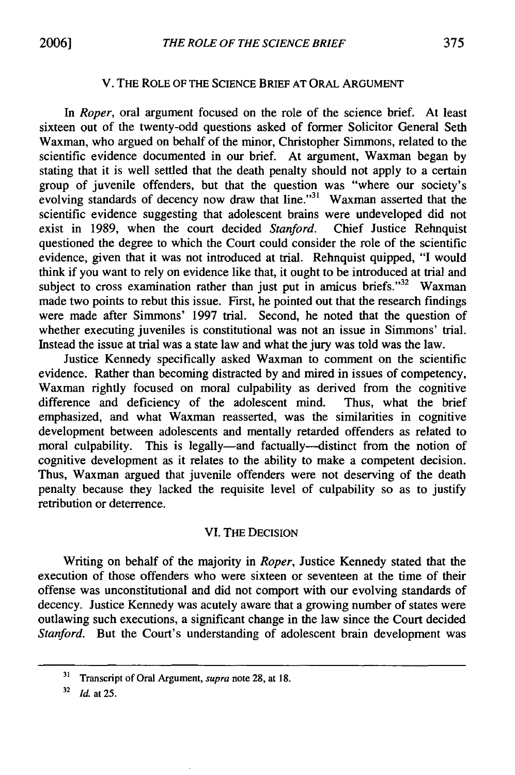#### V. THE ROLE OF THE SCIENCE BRIEF AT ORAL ARGUMENT

*In Roper,* oral argument focused on the role of the science brief. At least sixteen out of the twenty-odd questions asked of former Solicitor General Seth Waxman, who argued on behalf of the minor, Christopher Simmons, related to the scientific evidence documented in our brief. At argument, Waxman began by stating that it is well settled that the death penalty should not apply to a certain group of juvenile offenders, but that the question was "where our society' evolving standards of decency now draw that line."<sup>31</sup> Waxman asserted that the scientific evidence suggesting that adolescent brains were undeveloped did not exist in 1989, when the court decided *Stanford.* Chief Justice Rehnquist questioned the degree to which the Court could consider the role of the scientific evidence, given that it was not introduced at trial. Rehnquist quipped, "I would think if you want to rely on evidence like that, it ought to be introduced at trial and subject to cross examination rather than just put in amicus briefs." $32$  Waxman made two points to rebut this issue. First, he pointed out that the research findings were made after Simmons' 1997 trial. Second, he noted that the question of whether executing juveniles is constitutional was not an issue in Simmons' trial. Instead the issue at trial was a state law and what the jury was told was the law.

Justice Kennedy specifically asked Waxman to comment on the scientific evidence. Rather than becoming distracted by and mired in issues of competency, Waxman rightly focused on moral culpability as derived from the cognitive difference and deficiency of the adolescent mind. Thus, what the brief emphasized, and what Waxman reasserted, was the similarities in cognitive development between adolescents and mentally retarded offenders as related to moral culpability. This is legally—and factually—distinct from the notion of cognitive development as it relates to the ability to make a competent decision. Thus, Waxman argued that juvenile offenders were not deserving of the death penalty because they lacked the requisite level of culpability so as to justify retribution or deterrence.

# VI. THE DECISION

Writing on behalf of the majority in *Roper,* Justice Kennedy stated that the execution of those offenders who were sixteen or seventeen at the time of their offense was unconstitutional and did not comport with our evolving standards of decency. Justice Kennedy was acutely aware that a growing number of states were outlawing such executions, a significant change in the law since the Court decided *Stanford.* But the Court's understanding of adolescent brain development was

**<sup>31</sup>** Transcript of Oral Argument, supra note 28, at 18.

**<sup>32</sup>***Id.* at 25.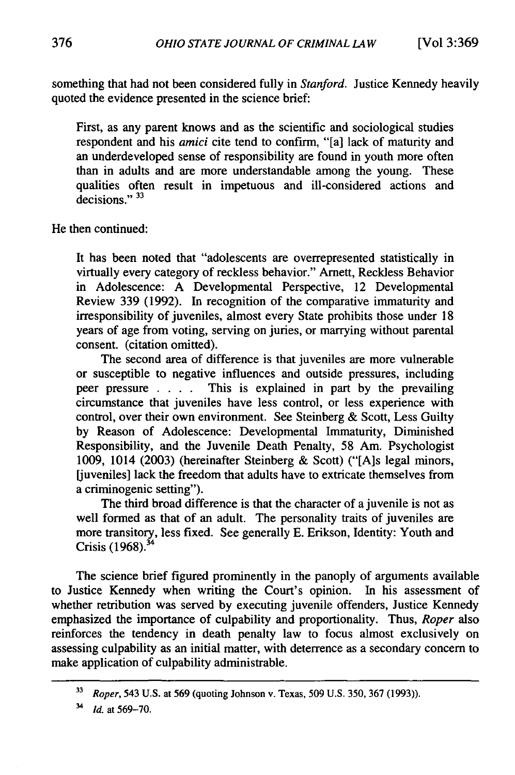something that had not been considered fully in *Stanford.* Justice Kennedy heavily quoted the evidence presented in the science brief:

First, as any parent knows and as the scientific and sociological studies respondent and his *amici* cite tend to confirm, "[a] lack of maturity and an underdeveloped sense of responsibility are found in youth more often than in adults and are more understandable among the young. These qualities often result in impetuous and ill-considered actions and decisions."<sup>33</sup>

He then continued:

It has been noted that "adolescents are overrepresented statistically in virtually every category of reckless behavior." Arnett, Reckless Behavior in Adolescence: A Developmental Perspective, 12 Developmental Review 339 (1992). In recognition of the comparative immaturity and irresponsibility of juveniles, almost every State prohibits those under 18 years of age from voting, serving on juries, or marrying without parental consent. (citation omitted).

The second area of difference is that juveniles are more vulnerable or susceptible to negative influences and outside pressures, including peer pressure . **. .** . This is explained in part by the prevailing circumstance that juveniles have less control, or less experience with control, over their own environment. See Steinberg & Scott, Less Guilty by Reason of Adolescence: Developmental Immaturity, Diminished Responsibility, and the Juvenile Death Penalty, 58 Am. Psychologist 1009, 1014 (2003) (hereinafter Steinberg & Scott) ("[A]s legal minors, [juveniles] lack the freedom that adults have to extricate themselves from a criminogenic setting").

The third broad difference is that the character of a juvenile is not as well formed as that of an adult. The personality traits of juveniles are more transitory, less fixed. See generally E. Erikson, Identity: Youth and Crisis  $(1968)^{34}$ 

The science brief figured prominently in the panoply of arguments available to Justice Kennedy when writing the Court's opinion. In his assessment of whether retribution was served by executing juvenile offenders, Justice Kennedy emphasized the importance of culpability and proportionality. Thus, *Roper* also reinforces the tendency in death penalty law to focus almost exclusively on assessing culpability as an initial matter, with deterrence as a secondary concern to make application of culpability administrable.

**<sup>33</sup>***Roper,* 543 U.S. at 569 (quoting Johnson v. Texas, 509 U.S. 350, 367 (1993)).

*<sup>34</sup>Id.* at 569-70.